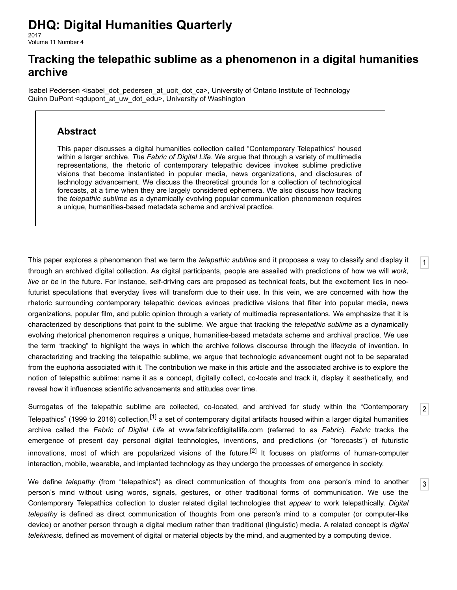# **DHQ: Digital Humanities Quarterly**

2017 Volume 11 Number 4

# **Tracking the telepathic sublime as a phenomenon in a digital humanities archive**

[Isabel Pedersen](http://www.digitalhumanities.org/dhq/vol/11/4/bios.html#pedersen_isabel) [<isabel\\_dot\\_pedersen\\_at\\_uoit\\_dot\\_ca>](mailto:isabel_dot_pedersen_at_uoit_dot_ca), University of Ontario Institute of Technology [Quinn DuPont](http://www.digitalhumanities.org/dhq/vol/11/4/bios.html#dupont_quinn) [<qdupont\\_at\\_uw\\_dot\\_edu](mailto:qdupont_at_uw_dot_edu)>, University of Washington

## **Abstract**

This paper discusses a digital humanities collection called "Contemporary Telepathics" housed within a larger archive, *The Fabric of Digital Life*. We argue that through a variety of multimedia representations, the rhetoric of contemporary telepathic devices invokes sublime predictive visions that become instantiated in popular media, news organizations, and disclosures of technology advancement. We discuss the theoretical grounds for a collection of technological forecasts, at a time when they are largely considered ephemera. We also discuss how tracking the *telepathic sublime* as a dynamically evolving popular communication phenomenon requires a unique, humanities-based metadata scheme and archival practice.

<span id="page-0-0"></span>This paper explores a phenomenon that we term the *telepathic sublime* and it proposes a way to classify and display it through an archived digital collection. As digital participants, people are assailed with predictions of how we will *work*, *live* or *be* in the future. For instance, self-driving cars are proposed as technical feats, but the excitement lies in neofuturist speculations that everyday lives will transform due to their use. In this vein, we are concerned with how the rhetoric surrounding contemporary telepathic devices evinces predictive visions that filter into popular media, news organizations, popular film, and public opinion through a variety of multimedia representations. We emphasize that it is characterized by descriptions that point to the sublime. We argue that tracking the *telepathic sublime* as a dynamically evolving rhetorical phenomenon requires a unique, humanities-based metadata scheme and archival practice. We use the term "tracking" to highlight the ways in which the archive follows discourse through the lifecycle of invention. In characterizing and tracking the telepathic sublime, we argue that technologic advancement ought not to be separated from the euphoria associated with it. The contribution we make in this article and the associated archive is to explore the notion of telepathic sublime: name it as a concept, digitally collect, co-locate and track it, display it aesthetically, and reveal how it influences scientific advancements and attitudes over time.

[1](#page-0-0)

[2](#page-0-1)

[3](#page-0-2)

<span id="page-0-1"></span>Surrogates of the telepathic sublime are collected, co-located, and archived for study within the "Contemporary Telepathics" (1999 to 2016) collection,<sup>[\[1\]](#page-10-0)</sup> a set of contemporary digital artifacts housed within a larger digital humanities archive called the *Fabric of Digital Life* at [www.fabricofdigitallife.com](http://www.fabricofdigitallife.com/) (referred to as *Fabric*). *Fabric* tracks the emergence of present day personal digital technologies, inventions, and predictions (or "forecasts") of futuristic innovations, most of which are popularized visions of the future.<sup>[2]</sup> It focuses on platforms of human-computer interaction, mobile, wearable, and implanted technology as they undergo the processes of emergence in society.

<span id="page-0-2"></span>We define *telepathy* (from "telepathics") as direct communication of thoughts from one person's mind to another person's mind without using words, signals, gestures, or other traditional forms of communication. We use the Contemporary Telepathics collection to cluster related digital technologies that *appear* to work telepathically. *Digital telepathy* is defined as direct communication of thoughts from one person's mind to a computer (or computer-like device) or another person through a digital medium rather than traditional (linguistic) media. A related concept is *digital telekinesis,* defined as movement of digital or material objects by the mind, and augmented by a computing device.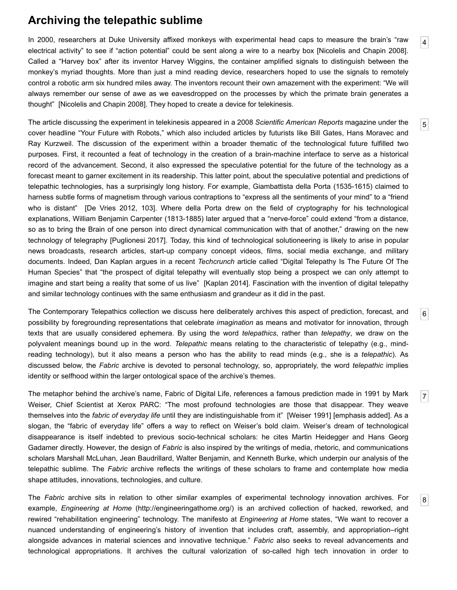## **Archiving the telepathic sublime**

<span id="page-1-0"></span>In 2000, researchers at Duke University affixed monkeys with experimental head caps to measure the brain's "raw electrical activity" to see if "action potential" could be sent along a wire to a nearby box [\[Nicolelis and Chapin 2008](#page-12-0)]. Called a "Harvey box" after its inventor Harvey Wiggins, the container amplified signals to distinguish between the monkey's myriad thoughts. More than just a mind reading device, researchers hoped to use the signals to remotely control a robotic arm six hundred miles away. The inventors recount their own amazement with the experiment: "We will always remember our sense of awe as we eavesdropped on the processes by which the primate brain generates a thought" [[Nicolelis and Chapin 2008](#page-12-0)]. They hoped to create a device for telekinesis.

<span id="page-1-1"></span>The article discussing the experiment in telekinesis appeared in a 2008 *Scientific American Reports* magazine under the cover headline "Your Future with Robots," which also included articles by futurists like Bill Gates, Hans Moravec and Ray Kurzweil. The discussion of the experiment within a broader thematic of the technological future fulfilled two purposes. First, it recounted a feat of technology in the creation of a brain-machine interface to serve as a historical record of the advancement. Second, it also expressed the speculative potential for the future of the technology as a forecast meant to garner excitement in its readership. This latter point, about the speculative potential and predictions of telepathic technologies, has a surprisingly long history. For example, Giambattista della Porta (1535-1615) claimed to harness subtle forms of magnetism through various contraptions to "express all the sentiments of your mind" to a "friend who is distant" [\[De Vries 2012,](#page-11-0) 103]. Where della Porta drew on the field of cryptography for his technological explanations, William Benjamin Carpenter (1813-1885) later argued that a "nerve-force" could extend "from a distance, so as to bring the Brain of one person into direct dynamical communication with that of another," drawing on the new technology of telegraphy [\[Puglionesi 2017](#page-12-1)]. Today, this kind of technological solutioneering is likely to arise in popular news broadcasts, research articles, start-up company concept videos, films, social media exchange, and military documents. Indeed, Dan Kaplan argues in a recent *Techcrunch* article called "Digital Telepathy Is The Future Of The Human Species" that "the prospect of digital telepathy will eventually stop being a prospect we can only attempt to imagine and start being a reality that some of us live" [[Kaplan 2014](#page-11-1)]. Fascination with the invention of digital telepathy and similar technology continues with the same enthusiasm and grandeur as it did in the past.

<span id="page-1-2"></span>The Contemporary Telepathics collection we discuss here deliberately archives this aspect of prediction, forecast, and possibility by foregrounding representations that celebrate *imagination* as means and motivator for innovation, through texts that are usually considered ephemera. By using the word *telepathics*, rather than *telepathy*, we draw on the polyvalent meanings bound up in the word. *Telepathic* means relating to the characteristic of telepathy (e.g., mindreading technology), but it also means a person who has the ability to read minds (e.g., she is a *telepathic*). As discussed below, the *Fabric* archive is devoted to personal technology, so, appropriately, the word *telepathic* implies identity or selfhood within the larger ontological space of the archive's themes.

<span id="page-1-3"></span>The metaphor behind the archive's name, Fabric of Digital Life, references a famous prediction made in 1991 by Mark Weiser, Chief Scientist at Xerox PARC: "The most profound technologies are those that disappear. They weave themselves into the *fabric of everyday life* until they are indistinguishable from it" [\[Weiser 1991](#page-12-2)] [emphasis added]. As a slogan, the "fabric of everyday life" offers a way to reflect on Weiser's bold claim. Weiser's dream of technological disappearance is itself indebted to previous socio-technical scholars: he cites Martin Heidegger and Hans Georg Gadamer directly. However, the design of *Fabric* is also inspired by the writings of media, rhetoric, and communications scholars Marshall McLuhan, Jean Baudrillard, Walter Benjamin, and Kenneth Burke, which underpin our analysis of the telepathic sublime. The *Fabric* archive reflects the writings of these scholars to frame and contemplate how media shape attitudes, innovations, technologies, and culture.

<span id="page-1-4"></span>The *Fabric* archive sits in relation to other similar examples of experimental technology innovation archives. For example, *Engineering at Home* (<http://engineeringathome.org/>) is an archived collection of hacked, reworked, and rewired "rehabilitation engineering" technology. The manifesto at *Engineering at Home* states, "We want to recover a nuanced understanding of engineering's history of invention that includes craft, assembly, and appropriation–right alongside advances in material sciences and innovative technique." *Fabric* also seeks to reveal advancements and technological appropriations. It archives the cultural valorization of so-called high tech innovation in order to

[5](#page-1-1)

[6](#page-1-2)

[7](#page-1-3)

[8](#page-1-4)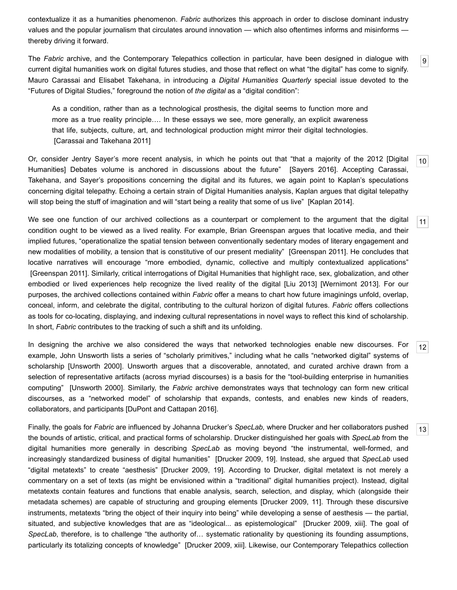contextualize it as a humanities phenomenon. *Fabric* authorizes this approach in order to disclose dominant industry values and the popular journalism that circulates around innovation — which also oftentimes informs and misinforms thereby driving it forward.

<span id="page-2-0"></span>The *Fabric* archive, and the Contemporary Telepathics collection in particular, have been designed in dialogue with current digital humanities work on digital futures studies, and those that reflect on what "the digital" has come to signify. Mauro Carassai and Elisabet Takehana, in introducing a *Digital Humanities Quarterly* special issue devoted to the "Futures of Digital Studies," foreground the notion of *the digital* as a "digital condition":

[9](#page-2-0)

[11](#page-2-2)

[12](#page-2-3)

[13](#page-2-4)

As a condition, rather than as a technological prosthesis, the digital seems to function more and more as a true reality principle…. In these essays we see, more generally, an explicit awareness that life, subjects, culture, art, and technological production might mirror their digital technologies. [\[Carassai and Takehana 2011](#page-11-2)]

<span id="page-2-1"></span>[10](#page-2-1) Or, consider Jentry Sayer's more recent analysis, in which he points out that "that a majority of the 2012 [Digital Humanities] Debates volume is anchored in discussions about the future" [[Sayers 2016\]](#page-12-3). Accepting Carassai, Takehana, and Sayer's propositions concerning the digital and its futures, we again point to Kaplan's speculations concerning digital telepathy. Echoing a certain strain of Digital Humanities analysis, Kaplan argues that digital telepathy will stop being the stuff of imagination and will "start being a reality that some of us live" [\[Kaplan 2014](#page-11-1)].

<span id="page-2-2"></span>We see one function of our archived collections as a counterpart or complement to the argument that the digital condition ought to be viewed as a lived reality. For example, Brian Greenspan argues that locative media, and their implied futures, "operationalize the spatial tension between conventionally sedentary modes of literary engagement and new modalities of mobility, a tension that is constitutive of our present mediality" [[Greenspan 2011](#page-11-3)]. He concludes that locative narratives will encourage "more embodied, dynamic, collective and multiply contextualized applications" [\[Greenspan 2011](#page-11-3)]. Similarly, critical interrogations of Digital Humanities that highlight race, sex, globalization, and other embodied or lived experiences help recognize the lived reality of the digital [\[Liu 2013](#page-11-4)] [\[Wernimont 2013](#page-12-4)]. For our purposes, the archived collections contained within *Fabric* offer a means to chart how future imaginings unfold, overlap, conceal, inform, and celebrate the digital, contributing to the cultural horizon of digital futures. *Fabric* offers collections as tools for co-locating, displaying, and indexing cultural representations in novel ways to reflect this kind of scholarship. In short, *Fabric* contributes to the tracking of such a shift and its unfolding.

<span id="page-2-3"></span>In designing the archive we also considered the ways that networked technologies enable new discourses. For example, John Unsworth lists a series of "scholarly primitives," including what he calls "networked digital" systems of scholarship [[Unsworth 2000\]](#page-12-5). Unsworth argues that a discoverable, annotated, and curated archive drawn from a selection of representative artifacts (across myriad discourses) is a basis for the "tool-building enterprise in humanities computing" [\[Unsworth 2000](#page-12-5)]. Similarly, the *Fabric* archive demonstrates ways that technology can form new critical discourses, as a "networked model" of scholarship that expands, contests, and enables new kinds of readers, collaborators, and participants [\[DuPont and Cattapan 2016](#page-11-5)].

<span id="page-2-4"></span>Finally, the goals for *Fabric* are influenced by Johanna Drucker's *SpecLab,* where Drucker and her collaborators pushed the bounds of artistic, critical, and practical forms of scholarship. Drucker distinguished her goals with *SpecLab* from the digital humanities more generally in describing *SpecLab* as moving beyond "the instrumental, well-formed, and increasingly standardized business of digital humanities" [\[Drucker 2009,](#page-11-6) 19]. Instead, she argued that *SpecLab* used "digital metatexts" to create "aesthesis" [[Drucker 2009,](#page-11-6) 19]. According to Drucker, digital metatext is not merely a commentary on a set of texts (as might be envisioned within a "traditional" digital humanities project). Instead, digital metatexts contain features and functions that enable analysis, search, selection, and display, which (alongside their metadata schemes) are capable of structuring and grouping elements [[Drucker 2009](#page-11-6), 11]. Through these discursive instruments, metatexts "bring the object of their inquiry into being" while developing a sense of aesthesis — the partial, situated, and subjective knowledges that are as "ideological... as epistemological" [\[Drucker 2009](#page-11-6), xiii]. The goal of *SpecLab*, therefore, is to challenge "the authority of… systematic rationality by questioning its founding assumptions, particularly its totalizing concepts of knowledge" [\[Drucker 2009](#page-11-6), xiii]. Likewise, our Contemporary Telepathics collection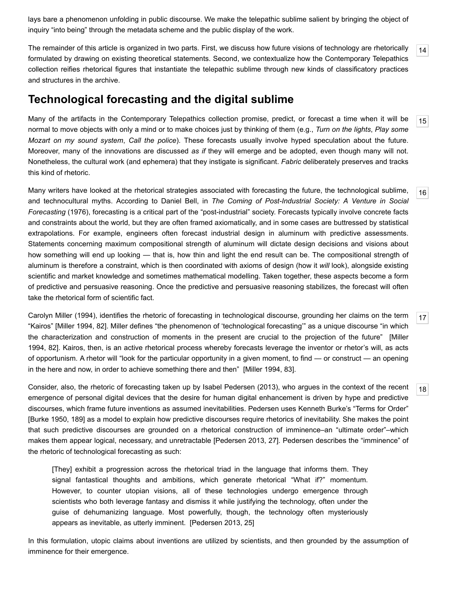lays bare a phenomenon unfolding in public discourse. We make the telepathic sublime salient by bringing the object of inquiry "into being" through the metadata scheme and the public display of the work.

<span id="page-3-0"></span>[14](#page-3-0) The remainder of this article is organized in two parts. First, we discuss how future visions of technology are rhetorically formulated by drawing on existing theoretical statements. Second, we contextualize how the Contemporary Telepathics collection reifies rhetorical figures that instantiate the telepathic sublime through new kinds of classificatory practices and structures in the archive.

## **Technological forecasting and the digital sublime**

<span id="page-3-1"></span>Many of the artifacts in the Contemporary Telepathics collection promise, predict, or forecast a time when it will be normal to move objects with only a mind or to make choices just by thinking of them (e.g., *Turn on the lights*, *Play some Mozart on my sound system*, *Call the police*). These forecasts usually involve hyped speculation about the future. Moreover, many of the innovations are discussed *as if* they will emerge and be adopted, even though many will not. Nonetheless, the cultural work (and ephemera) that they instigate is significant. *Fabric* deliberately preserves and tracks this kind of rhetoric.

<span id="page-3-2"></span>Many writers have looked at the rhetorical strategies associated with forecasting the future, the technological sublime, and technocultural myths. According to Daniel Bell, in *The Coming of Post-Industrial Society: A Venture in Social Forecasting* (1976), forecasting is a critical part of the "post-industrial" society. Forecasts typically involve concrete facts and constraints about the world, but they are often framed axiomatically, and in some cases are buttressed by statistical extrapolations. For example, engineers often forecast industrial design in aluminum with predictive assessments. Statements concerning maximum compositional strength of aluminum will dictate design decisions and visions about how something will end up looking — that is, how thin and light the end result can be. The compositional strength of aluminum is therefore a constraint, which is then coordinated with axioms of design (how it *will* look), alongside existing scientific and market knowledge and sometimes mathematical modelling. Taken together, these aspects become a form of predictive and persuasive reasoning. Once the predictive and persuasive reasoning stabilizes, the forecast will often take the rhetorical form of scientific fact.

<span id="page-3-3"></span>Carolyn Miller (1994), identifies the rhetoric of forecasting in technological discourse, grounding her claims on the term "Kairos" [[Miller 1994,](#page-12-6) 82]. Miller defines "the phenomenon of 'technological forecasting'" as a unique discourse "in which [the characterization and construction of moments in the present are crucial to the projection of the future" \[Miller](#page-12-6) 1994, 82]. Kairos, then, is an active rhetorical process whereby forecasts leverage the inventor or rhetor's will, as acts of opportunism. A rhetor will "look for the particular opportunity in a given moment, to find — or construct — an opening in the here and now, in order to achieve something there and then" [[Miller 1994,](#page-12-6) 83].

<span id="page-3-4"></span>Consider, also, the rhetoric of forecasting taken up by Isabel Pedersen (2013), who argues in the context of the recent emergence of personal digital devices that the desire for human digital enhancement is driven by hype and predictive discourses, which frame future inventions as assumed inevitabilities. Pedersen uses Kenneth Burke's "Terms for Order" [\[Burke 1950,](#page-11-7) 189] as a model to explain how predictive discourses require rhetorics of inevitability. She makes the point that such predictive discourses are grounded on a rhetorical construction of imminence–an "ultimate order"–which makes them appear logical, necessary, and unretractable [[Pedersen 2013](#page-12-7), 27]. Pedersen describes the "imminence" of the rhetoric of technological forecasting as such:

[They] exhibit a progression across the rhetorical triad in the language that informs them. They signal fantastical thoughts and ambitions, which generate rhetorical "What if?" momentum. However, to counter utopian visions, all of these technologies undergo emergence through scientists who both leverage fantasy and dismiss it while justifying the technology, often under the guise of dehumanizing language. Most powerfully, though, the technology often mysteriously appears as inevitable, as utterly imminent. [\[Pedersen 2013](#page-12-7), 25]

In this formulation, utopic claims about inventions are utilized by scientists, and then grounded by the assumption of imminence for their emergence.

[18](#page-3-4)

[17](#page-3-3)

[15](#page-3-1)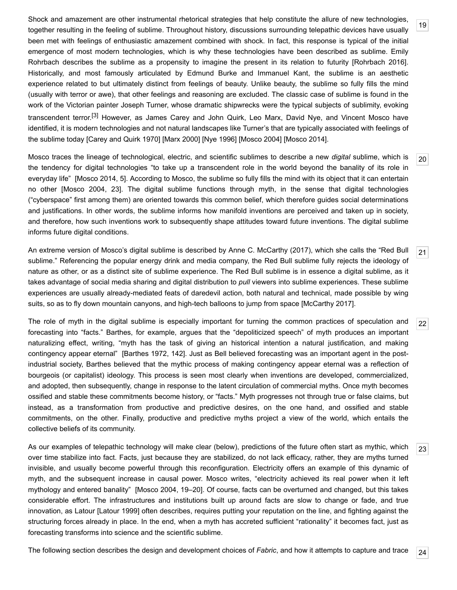<span id="page-4-0"></span>Shock and amazement are other instrumental rhetorical strategies that help constitute the allure of new technologies, together resulting in the feeling of sublime. Throughout history, discussions surrounding telepathic devices have usually been met with feelings of enthusiastic amazement combined with shock. In fact, this response is typical of the initial emergence of most modern technologies, which is why these technologies have been described as sublime. Emily Rohrbach describes the sublime as a propensity to imagine the present in its relation to futurity [[Rohrbach 2016](#page-12-8)]. Historically, and most famously articulated by Edmund Burke and Immanuel Kant, the sublime is an aesthetic experience related to but ultimately distinct from feelings of beauty. Unlike beauty, the sublime so fully fills the mind (usually with terror or awe), that other feelings and reasoning are excluded. The classic case of sublime is found in the work of the Victorian painter Joseph Turner, whose dramatic shipwrecks were the typical subjects of sublimity, evoking transcendent terror.[\[3\]](#page-10-2) However, as James Carey and John Quirk, Leo Marx, David Nye, and Vincent Mosco have identified, it is modern technologies and not natural landscapes like Turner's that are typically associated with feelings of the sublime today [\[Carey and Quirk 1970](#page-11-8)] [\[Marx 2000\]](#page-11-9) [[Nye 1996\]](#page-12-9) [[Mosco 2004\]](#page-12-10) [[Mosco 2014](#page-12-11)].

[19](#page-4-0)

[20](#page-4-1)

[22](#page-4-3)

[23](#page-4-4)

[24](#page-4-5)

<span id="page-4-1"></span>Mosco traces the lineage of technological, electric, and scientific sublimes to describe a new *digital* sublime, which is the tendency for digital technologies "to take up a transcendent role in the world beyond the banality of its role in everyday life" [\[Mosco 2014](#page-12-11), 5]. According to Mosco, the sublime so fully fills the mind with its object that it can entertain no other [[Mosco 2004](#page-12-10), 23]. The digital sublime functions through myth, in the sense that digital technologies ("cyberspace" first among them) are oriented towards this common belief, which therefore guides social determinations and justifications. In other words, the sublime informs how manifold inventions are perceived and taken up in society, and therefore, how such inventions work to subsequently shape attitudes toward future inventions. The digital sublime informs future digital conditions.

<span id="page-4-2"></span>[21](#page-4-2) An extreme version of Mosco's digital sublime is described by Anne C. McCarthy (2017), which she calls the "Red Bull sublime." Referencing the popular energy drink and media company, the Red Bull sublime fully rejects the ideology of nature as other, or as a distinct site of sublime experience. The Red Bull sublime is in essence a digital sublime, as it takes advantage of social media sharing and digital distribution to *pull* viewers into sublime experiences. These sublime experiences are usually already-mediated feats of daredevil action, both natural and technical, made possible by wing suits, so as to fly down mountain canyons, and high-tech balloons to jump from space [\[McCarthy 2017\]](#page-11-10).

<span id="page-4-3"></span>The role of myth in the digital sublime is especially important for turning the common practices of speculation and forecasting into "facts." Barthes, for example, argues that the "depoliticized speech" of myth produces an important naturalizing effect, writing, "myth has the task of giving an historical intention a natural justification, and making contingency appear eternal" [\[Barthes 1972,](#page-11-11) 142]. Just as Bell believed forecasting was an important agent in the postindustrial society, Barthes believed that the mythic process of making contingency appear eternal was a reflection of bourgeois (or capitalist) ideology. This process is seen most clearly when inventions are developed, commercialized, and adopted, then subsequently, change in response to the latent circulation of commercial myths. Once myth becomes ossified and stable these commitments become history, or "facts." Myth progresses not through true or false claims, but instead, as a transformation from productive and predictive desires, on the one hand, and ossified and stable commitments, on the other. Finally, productive and predictive myths project a view of the world, which entails the collective beliefs of its community.

<span id="page-4-4"></span>As our examples of telepathic technology will make clear (below), predictions of the future often start as mythic, which over time stabilize into fact. Facts, just because they are stabilized, do not lack efficacy, rather, they are myths turned invisible, and usually become powerful through this reconfiguration. Electricity offers an example of this dynamic of myth, and the subsequent increase in causal power. Mosco writes, "electricity achieved its real power when it left mythology and entered banality" [[Mosco 2004](#page-12-10), 19–20]. Of course, facts can be overturned and changed, but this takes considerable effort. The infrastructures and institutions built up around facts are slow to change or fade, and true innovation, as Latour [[Latour 1999](#page-11-12)] often describes, requires putting your reputation on the line, and fighting against the structuring forces already in place. In the end, when a myth has accreted sufficient "rationality" it becomes fact, just as forecasting transforms into science and the scientific sublime.

<span id="page-4-5"></span>The following section describes the design and development choices of *Fabric*, and how it attempts to capture and trace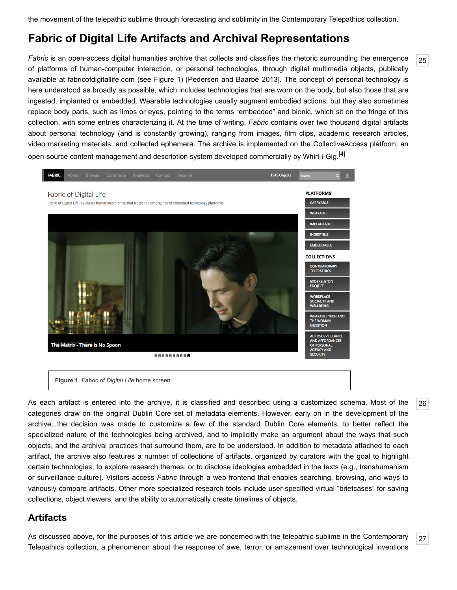the movement of the telepathic sublime through forecasting and sublimity in the Contemporary Telepathics collection.

# **Fabric of Digital Life Artifacts and Archival Representations**

<span id="page-5-1"></span>*Fabric* is an open-access digital humanities archive that collects and classifies the rhetoric surrounding the emergence of platforms of human-computer interaction, or personal technologies, through digital multimedia objects, publically available at [fabricofdigitallife.com](http://www.fabricofdigitallife.com/) (see Figure 1) [[Pedersen and Baarbé 2013](#page-12-12)]. The concept of personal technology is here understood as broadly as possible, which includes technologies that are worn on the body, but also those that are ingested, implanted or embedded. Wearable technologies usually augment embodied actions, but they also sometimes replace body parts, such as limbs or eyes, pointing to the terms "embedded" and bionic, which sit on the fringe of this collection, with some entries characterizing it. At the time of writing, *Fabric* contains over two thousand digital artifacts about personal technology (and is constantly growing), ranging from images, film clips, academic research articles, video marketing materials, and collected ephemera. The archive is implemented on the CollectiveAccess platform, an open-source content management and description system developed commercially by Whirl-i-Gig.<sup>[\[4\]](#page-10-3)</sup>



**Figure 1.** *Fabric of Digital Life* home screen

<span id="page-5-2"></span>As each artifact is entered into the archive, it is classified and described using a customized schema. Most of the categories draw on the original Dublin Core set of metadata elements. However, early on in the development of the archive, the decision was made to customize a few of the standard Dublin Core elements, to better reflect the specialized nature of the technologies being archived, and to implicitly make an argument about the ways that such objects, and the archival practices that surround them, are to be understood. In addition to metadata attached to each artifact, the archive also features a number of collections of artifacts, organized by curators with the goal to highlight certain technologies, to explore research themes, or to disclose ideologies embedded in the texts (e.g., transhumanism or surveillance culture). Visitors access *Fabric* through a web frontend that enables searching, browsing, and ways to variously compare artifacts. Other more specialized research tools include user-specified virtual "briefcases" for saving collections, object viewers, and the ability to automatically create timelines of objects.

## **Artifacts**

<span id="page-5-0"></span>As discussed above, for the purposes of this article we are concerned with the telepathic sublime in the Contemporary Telepathics collection, a phenomenon about the response of awe, terror, or amazement over technological inventions

[26](#page-5-2)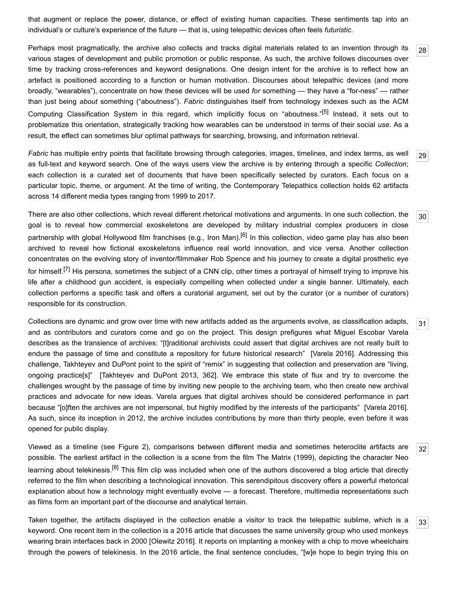that augment or replace the power, distance, or effect of existing human capacities. These sentiments tap into an individual's or culture's experience of the future — that is, using telepathic devices often feels *futuristic*.

<span id="page-6-0"></span>Perhaps most pragmatically, the archive also collects and tracks digital materials related to an invention through its various stages of development and public promotion or public response. As such, the archive follows discourses over time by tracking cross-references and keyword designations. One design intent for the archive is to reflect how an artefact is positioned according to a function or human motivation. Discourses about telepathic devices (and more broadly, "wearables"), concentrate on how these devices will be used *for* something — they have a "for-ness" — rather than just being *about* something ("aboutness"). *Fabric* distinguishes itself from technology indexes such as the ACM Computing Classification System in this regard, which implicitly focus on "aboutness."[\[5\]](#page-10-4) Instead, it sets out to problematize this orientation, strategically tracking how wearables can be understood in terms of their social *use*. As a result, the effect can sometimes blur optimal pathways for searching, browsing, and information retrieval.

<span id="page-6-1"></span>*Fabric* has multiple entry points that facilitate browsing through categories, images, timelines, and index terms, as well as full-text and keyword search. One of the ways users view the archive is by entering through a specific *Collection*; each collection is a curated set of documents that have been specifically selected by curators. Each focus on a particular topic, theme, or argument. At the time of writing, the Contemporary Telepathics collection holds 62 artifacts across 14 different media types ranging from 1999 to 2017.

<span id="page-6-2"></span>There are also other collections, which reveal different rhetorical motivations and arguments. In one such collection, the goal is to reveal how commercial exoskeletons are developed by military industrial complex producers in close partnership with global Hollywood film franchises (e.g., Iron Man).<sup>[6]</sup> In this collection, video game play has also been archived to reveal how fictional exoskeletons influence real world innovation, and vice versa. Another collection concentrates on the evolving story of inventor/filmmaker Rob Spence and his journey to create a digital prosthetic eye for himself.<sup>[7]</sup> His persona, sometimes the subject of a CNN clip, other times a portrayal of himself trying to improve his life after a childhood gun accident, is especially compelling when collected under a single banner. Ultimately, each collection performs a specific task and offers a curatorial argument, set out by the curator (or a number of curators) responsible for its construction.

<span id="page-6-3"></span>Collections are dynamic and grow over time with new artifacts added as the arguments evolve, as classification adapts, and as contributors and curators come and go on the project. This design prefigures what Miguel Escobar Varela describes as the transience of archives: "[t]raditional archivists could assert that digital archives are not really built to endure the passage of time and constitute a repository for future historical research" [\[Varela 2016](#page-12-13)]. Addressing this challenge, Takhteyev and DuPont point to the spirit of "remix" in suggesting that collection and preservation are "living, ongoing practice[s]" [\[Takhteyev and DuPont 2013,](#page-12-14) 362]. We embrace this state of flux and try to overcome the challenges wrought by the passage of time by inviting new people to the archiving team, who then create new archival practices and advocate for new ideas. Varela argues that digital archives should be considered performance in part because "[o]ften the archives are not impersonal, but highly modified by the interests of the participants" [[Varela 2016](#page-12-13)]. As such, since its inception in 2012, the archive includes contributions by more than thirty people, even before it was opened for public display.

<span id="page-6-4"></span>[32](#page-6-4) Viewed as a timeline (see Figure 2), comparisons between different media and sometimes heteroclite artifacts are possible. The earliest artifact in the collection is a scene from the film The Matrix (1999), depicting the character Neo learning about telekinesis.<sup>[8]</sup> This film clip was included when one of the authors discovered a blog article that directly referred to the film when describing a technological innovation. This serendipitous discovery offers a powerful rhetorical explanation about how a technology might eventually evolve — a forecast. Therefore, multimedia representations such as films form an important part of the discourse and analytical terrain.

<span id="page-6-5"></span>[33](#page-6-5) Taken together, the artifacts displayed in the collection enable a visitor to track the telepathic sublime, which is a keyword. One recent item in the collection is a 2016 article that discusses the same university group who used monkeys wearing brain interfaces back in 2000 [[Olewitz 2016](#page-12-15)]. It reports on implanting a monkey with a chip to move wheelchairs through the powers of telekinesis. In the 2016 article, the final sentence concludes, "[w]e hope to begin trying this on

[31](#page-6-3)

[28](#page-6-0)

[29](#page-6-1)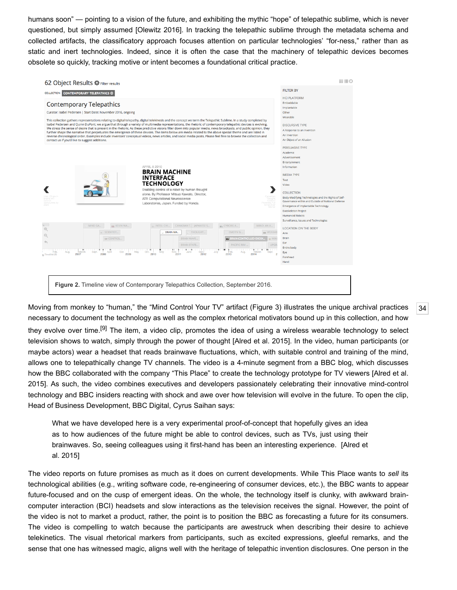humans soon" — pointing to a vision of the future, and exhibiting the mythic "hope" of telepathic sublime, which is never questioned, but simply assumed [\[Olewitz 2016\]](#page-12-15). In tracking the telepathic sublime through the metadata schema and collected artifacts, the classificatory approach focuses attention on particular technologies' "for-ness," rather than as static and inert technologies. Indeed, since it is often the case that the machinery of telepathic devices becomes obsolete so quickly, tracking motive or intent becomes a foundational critical practice.



<span id="page-7-0"></span>Moving from monkey to "human," the "Mind Control Your TV" artifact (Figure 3) illustrates the unique archival practices necessary to document the technology as well as the complex rhetorical motivators bound up in this collection, and how they evolve over time.<sup>[9]</sup> The item, a video clip, promotes the idea of using a wireless wearable technology to select television shows to watch, simply through the power of thought [\[Alred et al. 2015\]](#page-11-15). In the video, human participants (or maybe actors) wear a headset that reads brainwave fluctuations, which, with suitable control and training of the mind, allows one to telepathically change TV channels. The video is a 4-minute segment from a BBC blog, which discusses [how the BBC collaborated with the company "This Place" to create the technology prototype for TV viewers \[Alred et al.](#page-11-15) 2015]. As such, the video combines executives and developers passionately celebrating their innovative mind-control technology and BBC insiders reacting with shock and awe over how television will evolve in the future. To open the clip, Head of Business Development, BBC Digital, Cyrus Saihan says:

What we have developed here is a very experimental proof-of-concept that hopefully gives an idea as to how audiences of the future might be able to control devices, such as TVs, just using their [brainwaves. So, seeing colleagues using it first-hand has been an interesting experience. \[Alred et](#page-11-15) al. 2015]

The video reports on future promises as much as it does on current developments. While This Place wants to *sell* its technological abilities (e.g., writing software code, re-engineering of consumer devices, etc.), the BBC wants to appear future-focused and on the cusp of emergent ideas. On the whole, the technology itself is clunky, with awkward braincomputer interaction (BCI) headsets and slow interactions as the television receives the signal. However, the point of the video is not to market a product, rather, the point is to position the BBC as forecasting a future for its consumers. The video is compelling to watch because the participants are awestruck when describing their desire to achieve telekinetics. The visual rhetorical markers from participants, such as excited expressions, gleeful remarks, and the sense that one has witnessed magic, aligns well with the heritage of telepathic invention disclosures. One person in the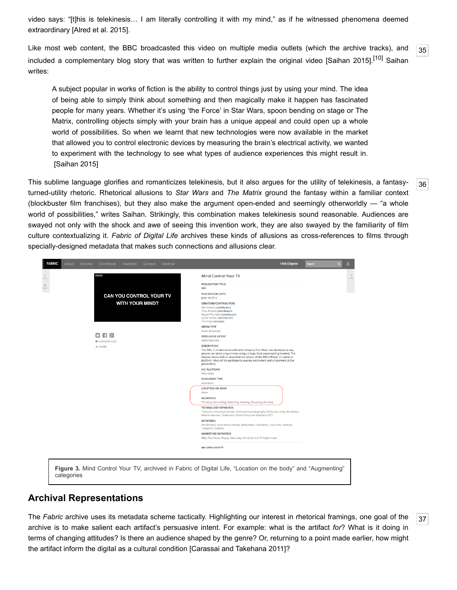video says: "[t]his is telekinesis… I am literally controlling it with my mind," as if he witnessed phenomena deemed extraordinary [\[Alred et al. 2015\]](#page-11-15).

<span id="page-8-0"></span>[35](#page-8-0) Like most web content, the BBC broadcasted this video on multiple media outlets (which the archive tracks), and included a complementary blog story that was written to further explain the original video [\[Saihan 2015\]](#page-12-16).<sup>[10]</sup> Saihan writes:

A subject popular in works of fiction is the ability to control things just by using your mind. The idea of being able to simply think about something and then magically make it happen has fascinated people for many years. Whether it's using 'the Force' in Star Wars, spoon bending on stage or The Matrix, controlling objects simply with your brain has a unique appeal and could open up a whole world of possibilities. So when we learnt that new technologies were now available in the market that allowed you to control electronic devices by measuring the brain's electrical activity, we wanted to experiment with the technology to see what types of audience experiences this might result in. [\[Saihan 2015\]](#page-12-16)

<span id="page-8-1"></span>This sublime language glorifies and romanticizes telekinesis, but it also argues for the utility of telekinesis, a fantasyturned-utility rhetoric. Rhetorical allusions to *Star Wars* and *The Matrix* ground the fantasy within a familiar context (blockbuster film franchises), but they also make the argument open-ended and seemingly otherworldly — "a whole world of possibilities," writes Saihan. Strikingly, this combination makes telekinesis sound reasonable. Audiences are swayed not only with the shock and awe of seeing this invention work, they are also swayed by the familiarity of film culture contextualizing it. *Fabric of Digital Life* archives these kinds of allusions as cross-references to films through specially-designed metadata that makes such connections and allusions clear.

| <b>BBC</b>                                        | Mind Control Your TV                                                                                                                                                                                                                                                                                                                                         |  |  |
|---------------------------------------------------|--------------------------------------------------------------------------------------------------------------------------------------------------------------------------------------------------------------------------------------------------------------------------------------------------------------------------------------------------------------|--|--|
| CAN YOU CONTROL YOUR TV<br><b>WITH YOUR MIND?</b> | <b>PUBLICATION TITLE</b><br><b>BBC</b>                                                                                                                                                                                                                                                                                                                       |  |  |
|                                                   | <b>PUBLICATION DATE</b><br>June 18 2015                                                                                                                                                                                                                                                                                                                      |  |  |
|                                                   | <b>CREATORS/CONTRIBUTORS</b><br>Ben Aldred (contributor)<br>Toby Mildon (contributor)<br>Russell Plunkett (contributor)<br>Cyrus Saihan (contributor)<br>This Place (creator)                                                                                                                                                                                |  |  |
|                                                   | <b>MEDIA TYPE</b>                                                                                                                                                                                                                                                                                                                                            |  |  |
| $-18$<br>п<br>COMMENTS (0)                        | <b>News Broadcast</b><br><b>PERSUASIVE INTENT</b><br>Advertisement                                                                                                                                                                                                                                                                                           |  |  |
| $\Rightarrow$ SHARE                               | <b>DESCRIPTION</b><br>The BBC, in collaboration with tech company This Place, has developed a way<br>people can select programmes using a cheap, brainwave-reading headset. The<br>headset works with an experimental version of the BBC's iPlayer on-demand<br>platform. Many of the participants express excitement and amazement at the<br>possibilities. |  |  |
|                                                   | <b>HCI PLATFORM</b><br>Wearables                                                                                                                                                                                                                                                                                                                             |  |  |
|                                                   | <b>DISCURSIVE TYPE</b><br>Inventions                                                                                                                                                                                                                                                                                                                         |  |  |
|                                                   | <b>LOCATION ON BODY</b><br><b>Brain</b><br><b>AUGMENTS</b>                                                                                                                                                                                                                                                                                                   |  |  |
|                                                   | Thinking, Controlling, Watching, Hearing, Choosing, Wanting                                                                                                                                                                                                                                                                                                  |  |  |
|                                                   | <b>TECHNOLOGY KEYWORDS</b><br>Television, Electrical Activity, Electroencephalography (EEG), NeuroSky MindWave<br>Mobile Headset, Telekinesis, Brain-Computer Interface (BCI)                                                                                                                                                                                |  |  |
|                                                   | <b>KEYWORDS</b><br>Pre-Release, Brain Wave Activity, Meditation, Disabilities, Futurism, Forecast,<br><b>Telepathic Sublime</b>                                                                                                                                                                                                                              |  |  |
|                                                   | <b>MARKETING KEYWORDS</b>                                                                                                                                                                                                                                                                                                                                    |  |  |
|                                                   | BBC, This Place, IPlayer, Neurosky, Mind Control TV Experiment                                                                                                                                                                                                                                                                                               |  |  |
|                                                   | <b>RELATED OBJECTS</b>                                                                                                                                                                                                                                                                                                                                       |  |  |
|                                                   |                                                                                                                                                                                                                                                                                                                                                              |  |  |

categories

#### **Archival Representations**

<span id="page-8-2"></span>The *Fabric* archive uses its metadata scheme tactically. Highlighting our interest in rhetorical framings, one goal of the archive is to make salient each artifact's persuasive intent. For example: what is the artifact *for*? What is it doing in terms of changing attitudes? Is there an audience shaped by the genre? Or, returning to a point made earlier, how might the artifact inform the digital as a cultural condition [\[Carassai and Takehana 2011\]](#page-11-2)?

[36](#page-8-1)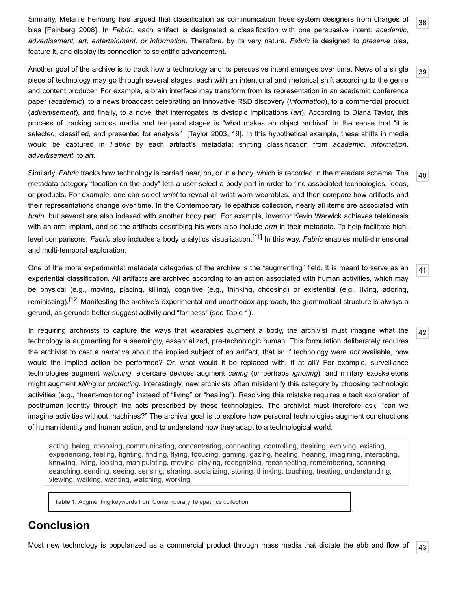<span id="page-9-0"></span>Similarly, Melanie Feinberg has argued that classification as communication frees system designers from charges of bias [[Feinberg 2008](#page-11-17)]. In *Fabric,* each artifact is designated a classification with one persuasive intent: *academic, advertisement, art, entertainment, or information*. Therefore, by its very nature, *Fabric* is designed to *preserve* bias, feature it, and display its connection to scientific advancement.

<span id="page-9-1"></span>Another goal of the archive is to track how a technology and its persuasive intent emerges over time. News of a single piece of technology may go through several stages, each with an intentional and rhetorical shift according to the genre and content producer. For example, a brain interface may transform from its representation in an academic conference paper (*academic*), to a news broadcast celebrating an innovative R&D discovery (*information*), to a commercial product (*advertisement*), and finally, to a novel that interrogates its dystopic implications (*art*). According to Diana Taylor, this process of tracking across media and temporal stages is "what makes an object archival" in the sense that "it is selected, classified, and presented for analysis" [[Taylor 2003](#page-12-17), 19]. In this hypothetical example, these shifts in media would be captured in *Fabric* by each artifact's metadata: shifting classification from *academic*, *information*, *advertisement*, to *art*.

<span id="page-9-2"></span>Similarly, *Fabric* tracks how technology is carried near, on, or in a body, which is recorded in the metadata schema. The metadata category "location on the body" lets a user select a body part in order to find associated technologies, ideas, or products. For example, one can select *wrist* to reveal all wrist-worn wearables, and then compare how artifacts and their representations change over time. In the Contemporary Telepathics collection, nearly all items are associated with *brain*, but several are also indexed with another body part. For example, inventor Kevin Warwick achieves telekinesis with an arm implant, and so the artifacts describing his work also include *arm* in their metadata. To help facilitate highlevel comparisons, *Fabric* also includes a body analytics visualization[.\[11\]](#page-11-18) In this way, *Fabric* enables multi-dimensional and multi-temporal exploration.

<span id="page-9-3"></span>One of the more experimental metadata categories of the archive is the "augmenting" field. It is meant to serve as an experiential classification. All artifacts are archived according to an action associated with human activities, which may be physical (e.g., moving, placing, killing), cognitive (e.g., thinking, choosing) or existential (e.g., living, adoring, reminiscing).<sup>[12]</sup> Manifesting the archive's experimental and unorthodox approach, the grammatical structure is always a gerund, as gerunds better suggest activity and "for-ness" (see Table 1).

<span id="page-9-4"></span>In requiring archivists to capture the ways that wearables augment a body, the archivist must imagine what the technology is augmenting for a seemingly, essentialized, pre-technologic human. This formulation deliberately requires the archivist to cast a narrative about the implied subject of an artifact, that is: if technology were *not* available, how would the implied action be performed? Or, what would it be replaced with, if at all? For example, surveillance technologies augment *watching*, eldercare devices augment *caring* (or perhaps *ignoring*), and military exoskeletons might augment *killing* or *protecting*. Interestingly, new archivists often misidentify this category by choosing technologic activities (e.g., "heart-monitoring" instead of "living" or "healing"). Resolving this mistake requires a tacit exploration of posthuman identity through the acts prescribed by these technologies. The archivist must therefore ask, "can we imagine activities without machines?" The archival goal is to explore how personal technologies augment constructions of human identity and human action, and to understand how they adapt to a technological world.

acting, being, choosing, communicating, concentrating, connecting, controlling, desiring, evolving, existing, experiencing, feeling, fighting, finding, flying, focusing, gaming, gazing, healing, hearing, imagining, interacting, knowing, living, looking, manipulating, moving, playing, recognizing, reconnecting, remembering, scanning, searching, sending, seeing, sensing, sharing, socializing, storing, thinking, touching, treating, understanding, viewing, walking, wanting, watching, working

**Table 1.** Augmenting keywords from Contemporary Telepathics collection

## **Conclusion**

<span id="page-9-5"></span>[43](#page-9-5) Most new technology is popularized as a commercial product through mass media that dictate the ebb and flow of

[38](#page-9-0)

[39](#page-9-1)

[40](#page-9-2)

[41](#page-9-3)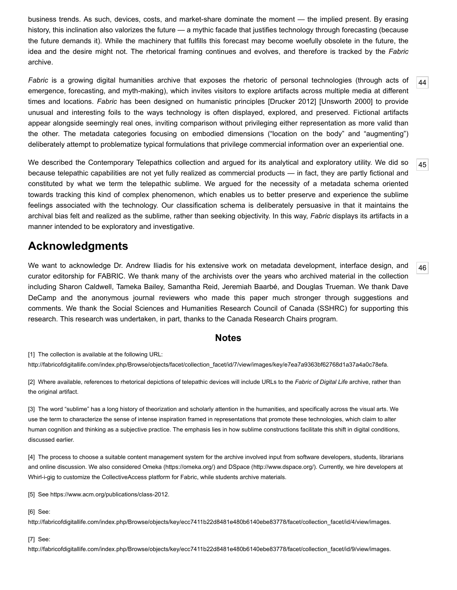business trends. As such, devices, costs, and market-share dominate the moment — the implied present. By erasing history, this inclination also valorizes the future — a mythic facade that justifies technology through forecasting (because the future demands it). While the machinery that fulfills this forecast may become woefully obsolete in the future, the idea and the desire might not. The rhetorical framing continues and evolves, and therefore is tracked by the *Fabric* archive.

<span id="page-10-7"></span>*Fabric* is a growing digital humanities archive that exposes the rhetoric of personal technologies (through acts of emergence, forecasting, and myth-making), which invites visitors to explore artifacts across multiple media at different times and locations. *Fabric* has been designed on humanistic principles [[Drucker 2012](#page-11-20)] [[Unsworth 2000\]](#page-12-5) to provide unusual and interesting foils to the ways technology is often displayed, explored, and preserved. Fictional artifacts appear alongside seemingly real ones, inviting comparison without privileging either representation as more valid than the other. The metadata categories focusing on embodied dimensions ("location on the body" and "augmenting") deliberately attempt to problematize typical formulations that privilege commercial information over an experiential one.

<span id="page-10-8"></span>[45](#page-10-8) We described the Contemporary Telepathics collection and argued for its analytical and exploratory utility. We did so because telepathic capabilities are not yet fully realized as commercial products — in fact, they are partly fictional and constituted by what we term the telepathic sublime. We argued for the necessity of a metadata schema oriented towards tracking this kind of complex phenomenon, which enables us to better preserve and experience the sublime feelings associated with the technology. Our classification schema is deliberately persuasive in that it maintains the archival bias felt and realized as the sublime, rather than seeking objectivity. In this way, *Fabric* displays its artifacts in a manner intended to be exploratory and investigative.

## **Acknowledgments**

<span id="page-10-9"></span>We want to acknowledge Dr. Andrew Iliadis for his extensive work on metadata development, interface design, and curator editorship for FABRIC. We thank many of the archivists over the years who archived material in the collection including Sharon Caldwell, Tameka Bailey, Samantha Reid, Jeremiah Baarbé, and Douglas Trueman. We thank Dave DeCamp and the anonymous journal reviewers who made this paper much stronger through suggestions and comments. We thank the Social Sciences and Humanities Research Council of Canada (SSHRC) for supporting this research. This research was undertaken, in part, thanks to the Canada Research Chairs program.

#### **Notes**

<span id="page-10-0"></span>[1] The collection is available at the following URL: [http://fabricofdigitallife.com/index.php/Browse/objects/facet/collection\\_facet/id/7/view/images/key/e7ea7a9363bf62768d1a37a4a0c78efa](http://fabricofdigitallife.com/index.php/Browse/objects/facet/collection_facet/id/7/view/images/key/e7ea7a9363bf62768d1a37a4a0c78efa).

<span id="page-10-1"></span>[2] Where available, references to rhetorical depictions of telepathic devices will include URLs to the *Fabric of Digital Life* archive, rather than the original artifact.

<span id="page-10-2"></span>[3] The word "sublime" has a long history of theorization and scholarly attention in the humanities, and specifically across the visual arts. We use the term to characterize the sense of intense inspiration framed in representations that promote these technologies, which claim to alter human cognition and thinking as a subjective practice. The emphasis lies in how sublime constructions facilitate this shift in digital conditions, discussed earlier.

<span id="page-10-3"></span>[4] The process to choose a suitable content management system for the archive involved input from software developers, students, librarians and online discussion. We also considered Omeka ([https://omeka.org/\)](https://omeka.org/) and DSpace (<http://www.dspace.org/>). Currently, we hire developers at Whirl-i-gig to customize the CollectiveAccess platform for Fabric, while students archive materials.

<span id="page-10-4"></span>[5] See [https://www.acm.org/publications/class-2012.](https://www.acm.org/publications/class-2012)

<span id="page-10-5"></span>[6] See:

[http://fabricofdigitallife.com/index.php/Browse/objects/key/ecc7411b22d8481e480b6140ebe83778/facet/collection\\_facet/id/4/view/images.](http://fabricofdigitallife.com/index.php/Browse/objects/key/ecc7411b22d8481e480b6140ebe83778/facet/collection_facet/id/4/view/images)

<span id="page-10-6"></span>[7] See:

[http://fabricofdigitallife.com/index.php/Browse/objects/key/ecc7411b22d8481e480b6140ebe83778/facet/collection\\_facet/id/9/view/images.](http://fabricofdigitallife.com/index.php/Browse/objects/key/ecc7411b22d8481e480b6140ebe83778/facet/collection_facet/id/9/view/images)

[44](#page-10-7)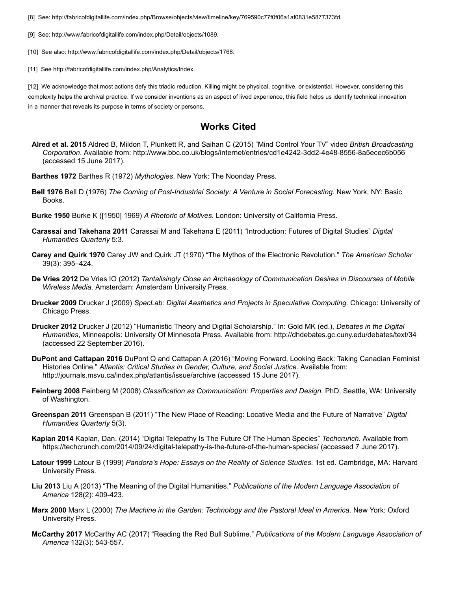<span id="page-11-13"></span>[8] See: [http://fabricofdigitallife.com/index.php/Browse/objects/view/timeline/key/769590c77f0f06a1af0831e5877373fd.](http://fabricofdigitallife.com/index.php/Browse/objects/view/timeline/key/769590c77f0f06a1af0831e5877373fd)

<span id="page-11-14"></span>[9] See: [http://www.fabricofdigitallife.com/index.php/Detail/objects/1089.](http://www.fabricofdigitallife.com/index.php/Detail/objects/1089)

<span id="page-11-16"></span>[10] See also:<http://www.fabricofdigitallife.com/index.php/Detail/objects/1768>.

<span id="page-11-18"></span>[11] See<http://fabricofdigitallife.com/index.php/Analytics/Index>.

<span id="page-11-19"></span>[12] We acknowledge that most actions defy this triadic reduction. Killing might be physical, cognitive, or existential. However, considering this complexity helps the archival practice. If we consider inventions as an aspect of lived experience, this field helps us identify technical innovation in a manner that reveals its purpose in terms of society or persons.

### **Works Cited**

- <span id="page-11-15"></span>**Alred et al. 2015** Aldred B, Mildon T, Plunkett R, and Saihan C (2015) "Mind Control Your TV" video *British Broadcasting Corporation*. Available from:<http://www.bbc.co.uk/blogs/internet/entries/cd1e4242-3dd2-4e48-8556-8a5ecec6b056> (accessed 15 June 2017).
- <span id="page-11-11"></span>**Barthes 1972** Barthes R (1972) *Mythologies*. New York: The Noonday Press.
- **Bell 1976** Bell D (1976) *The Coming of Post-Industrial Society: A Venture in Social Forecasting*. New York, NY: Basic Books.
- <span id="page-11-7"></span>**Burke 1950** Burke K ([1950] 1969) *A Rhetoric of Motives*. London: University of California Press.
- <span id="page-11-2"></span>**Carassai and Takehana 2011** Carassai M and Takehana E (2011) "Introduction: Futures of Digital Studies" *Digital Humanities Quarterly* 5:3.
- <span id="page-11-8"></span>**Carey and Quirk 1970** Carey JW and Quirk JT (1970) "The Mythos of the Electronic Revolution." *The American Scholar* 39(3): 395–424.
- <span id="page-11-0"></span>**De Vries 2012** De Vries IO (2012) *Tantalisingly Close an Archaeology of Communication Desires in Discourses of Mobile Wireless Media*. Amsterdam: Amsterdam University Press.
- <span id="page-11-6"></span>**Drucker 2009** Drucker J (2009) *SpecLab: Digital Aesthetics and Projects in Speculative Computing.* Chicago: University of Chicago Press.
- <span id="page-11-20"></span>**Drucker 2012** Drucker J (2012) "Humanistic Theory and Digital Scholarship." In: Gold MK (ed.), *Debates in the Digital Humanities*, Minneapolis: University Of Minnesota Press. Available from:<http://dhdebates.gc.cuny.edu/debates/text/34> (accessed 22 September 2016).
- <span id="page-11-5"></span>**DuPont and Cattapan 2016** DuPont Q and Cattapan A (2016) "Moving Forward, Looking Back: Taking Canadian Feminist Histories Online." *Atlantis: Critical Studies in Gender, Culture, and Social Justice*. Available from: <http://journals.msvu.ca/index.php/atlantis/issue/archive> (accessed 15 June 2017).
- <span id="page-11-17"></span>**Feinberg 2008** Feinberg M (2008) *Classification as Communication: Properties and Design*. PhD, Seattle, WA: University of Washington.
- <span id="page-11-3"></span>**Greenspan 2011** Greenspan B (2011) "The New Place of Reading: Locative Media and the Future of Narrative" *Digital Humanities Quarterly* 5(3).
- <span id="page-11-1"></span>**Kaplan 2014** Kaplan, Dan. (2014) "Digital Telepathy Is The Future Of The Human Species" *Techcrunch*. Available from <https://techcrunch.com/2014/09/24/digital-telepathy-is-the-future-of-the-human-species/> (accessed 7 June 2017).
- <span id="page-11-12"></span>**Latour 1999** Latour B (1999) *Pandora's Hope: Essays on the Reality of Science Studies*. 1st ed. Cambridge, MA: Harvard University Press.
- <span id="page-11-4"></span>**Liu 2013** Liu A (2013) "The Meaning of the Digital Humanities." *Publications of the Modern Language Association of America* 128(2): 409-423.
- <span id="page-11-9"></span>**Marx 2000** Marx L (2000) *The Machine in the Garden: Technology and the Pastoral Ideal in America*. New York: Oxford University Press.
- <span id="page-11-10"></span>**McCarthy 2017** McCarthy AC (2017) "Reading the Red Bull Sublime." *Publications of the Modern Language Association of America* 132(3): 543-557.